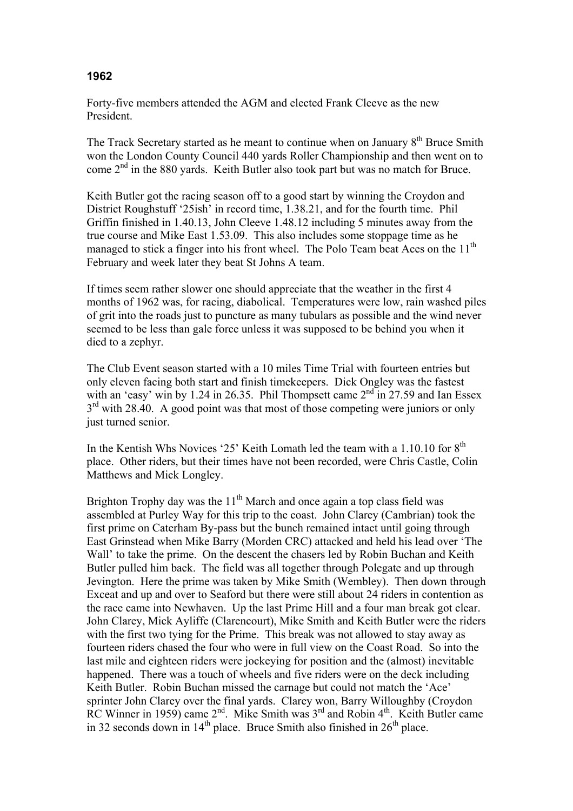## **1962**

Forty-five members attended the AGM and elected Frank Cleeve as the new President.

The Track Secretary started as he meant to continue when on January 8<sup>th</sup> Bruce Smith won the London County Council 440 yards Roller Championship and then went on to come  $2<sup>nd</sup>$  in the 880 yards. Keith Butler also took part but was no match for Bruce.

Keith Butler got the racing season off to a good start by winning the Croydon and District Roughstuff '25ish' in record time, 1.38.21, and for the fourth time. Phil Griffin finished in 1.40.13, John Cleeve 1.48.12 including 5 minutes away from the true course and Mike East 1.53.09. This also includes some stoppage time as he managed to stick a finger into his front wheel. The Polo Team beat Aces on the 11<sup>th</sup> February and week later they beat St Johns A team.

If times seem rather slower one should appreciate that the weather in the first 4 months of 1962 was, for racing, diabolical. Temperatures were low, rain washed piles of grit into the roads just to puncture as many tubulars as possible and the wind never seemed to be less than gale force unless it was supposed to be behind you when it died to a zephyr.

The Club Event season started with a 10 miles Time Trial with fourteen entries but only eleven facing both start and finish timekeepers. Dick Ongley was the fastest with an 'easy' win by 1.24 in 26.35. Phil Thompsett came  $2<sup>nd</sup>$  in 27.59 and Ian Essex  $3<sup>rd</sup>$  with 28.40. A good point was that most of those competing were juniors or only just turned senior.

In the Kentish Whs Novices '25' Keith Lomath led the team with a  $1.10.10$  for  $8<sup>th</sup>$ place. Other riders, but their times have not been recorded, were Chris Castle, Colin Matthews and Mick Longley.

Brighton Trophy day was the  $11<sup>th</sup>$  March and once again a top class field was assembled at Purley Way for this trip to the coast. John Clarey (Cambrian) took the first prime on Caterham By-pass but the bunch remained intact until going through East Grinstead when Mike Barry (Morden CRC) attacked and held his lead over 'The Wall' to take the prime. On the descent the chasers led by Robin Buchan and Keith Butler pulled him back. The field was all together through Polegate and up through Jevington. Here the prime was taken by Mike Smith (Wembley). Then down through Exceat and up and over to Seaford but there were still about 24 riders in contention as the race came into Newhaven. Up the last Prime Hill and a four man break got clear. John Clarey, Mick Ayliffe (Clarencourt), Mike Smith and Keith Butler were the riders with the first two tying for the Prime. This break was not allowed to stay away as fourteen riders chased the four who were in full view on the Coast Road. So into the last mile and eighteen riders were jockeying for position and the (almost) inevitable happened. There was a touch of wheels and five riders were on the deck including Keith Butler. Robin Buchan missed the carnage but could not match the 'Ace' sprinter John Clarey over the final yards. Clarey won, Barry Willoughby (Croydon RC Winner in 1959) came 2<sup>nd</sup>. Mike Smith was 3<sup>rd</sup> and Robin 4<sup>th</sup>. Keith Butler came in 32 seconds down in  $14<sup>th</sup>$  place. Bruce Smith also finished in  $26<sup>th</sup>$  place.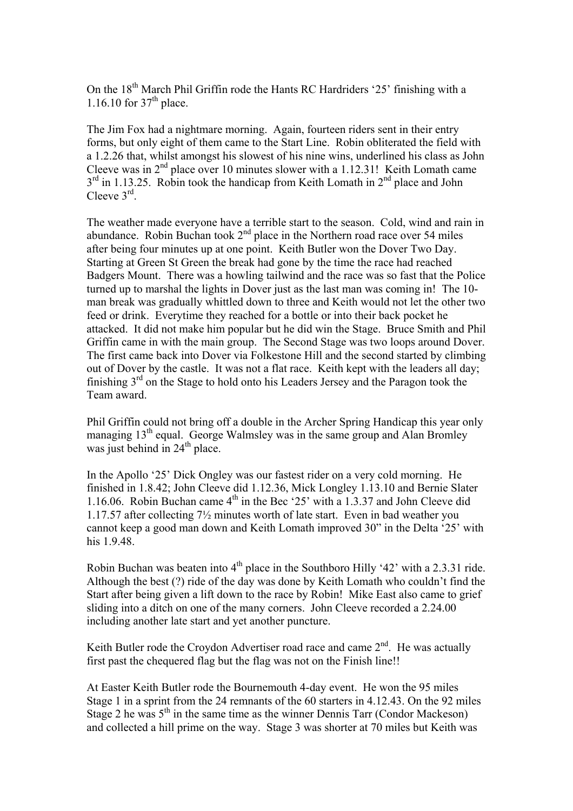On the 18<sup>th</sup> March Phil Griffin rode the Hants RC Hardriders '25' finishing with a 1.16.10 for  $37<sup>th</sup>$  place.

The Jim Fox had a nightmare morning. Again, fourteen riders sent in their entry forms, but only eight of them came to the Start Line. Robin obliterated the field with a 1.2.26 that, whilst amongst his slowest of his nine wins, underlined his class as John Cleeve was in  $2<sup>nd</sup>$  place over 10 minutes slower with a 1.12.31! Keith Lomath came  $3<sup>rd</sup>$  in 1.13.25. Robin took the handicap from Keith Lomath in  $2<sup>nd</sup>$  place and John Cleeve 3rd.

The weather made everyone have a terrible start to the season. Cold, wind and rain in abundance. Robin Buchan took  $2<sup>nd</sup>$  place in the Northern road race over 54 miles after being four minutes up at one point. Keith Butler won the Dover Two Day. Starting at Green St Green the break had gone by the time the race had reached Badgers Mount. There was a howling tailwind and the race was so fast that the Police turned up to marshal the lights in Dover just as the last man was coming in! The 10 man break was gradually whittled down to three and Keith would not let the other two feed or drink. Everytime they reached for a bottle or into their back pocket he attacked. It did not make him popular but he did win the Stage. Bruce Smith and Phil Griffin came in with the main group. The Second Stage was two loops around Dover. The first came back into Dover via Folkestone Hill and the second started by climbing out of Dover by the castle. It was not a flat race. Keith kept with the leaders all day; finishing  $3<sup>rd</sup>$  on the Stage to hold onto his Leaders Jersey and the Paragon took the Team award.

Phil Griffin could not bring off a double in the Archer Spring Handicap this year only managing 13<sup>th</sup> equal. George Walmsley was in the same group and Alan Bromley was just behind in  $24<sup>th</sup>$  place.

In the Apollo '25' Dick Ongley was our fastest rider on a very cold morning. He finished in 1.8.42; John Cleeve did 1.12.36, Mick Longley 1.13.10 and Bernie Slater 1.16.06. Robin Buchan came  $4<sup>th</sup>$  in the Bec '25' with a 1.3.37 and John Cleeve did 1.17.57 after collecting 7½ minutes worth of late start. Even in bad weather you cannot keep a good man down and Keith Lomath improved 30" in the Delta '25' with his 1.9.48.

Robin Buchan was beaten into  $4<sup>th</sup>$  place in the Southboro Hilly '42' with a 2.3.31 ride. Although the best (?) ride of the day was done by Keith Lomath who couldn't find the Start after being given a lift down to the race by Robin! Mike East also came to grief sliding into a ditch on one of the many corners. John Cleeve recorded a 2.24.00 including another late start and yet another puncture.

Keith Butler rode the Croydon Advertiser road race and came  $2<sup>nd</sup>$ . He was actually first past the chequered flag but the flag was not on the Finish line!!

At Easter Keith Butler rode the Bournemouth 4-day event. He won the 95 miles Stage 1 in a sprint from the 24 remnants of the 60 starters in 4.12.43. On the 92 miles Stage 2 he was  $5<sup>th</sup>$  in the same time as the winner Dennis Tarr (Condor Mackeson) and collected a hill prime on the way. Stage 3 was shorter at 70 miles but Keith was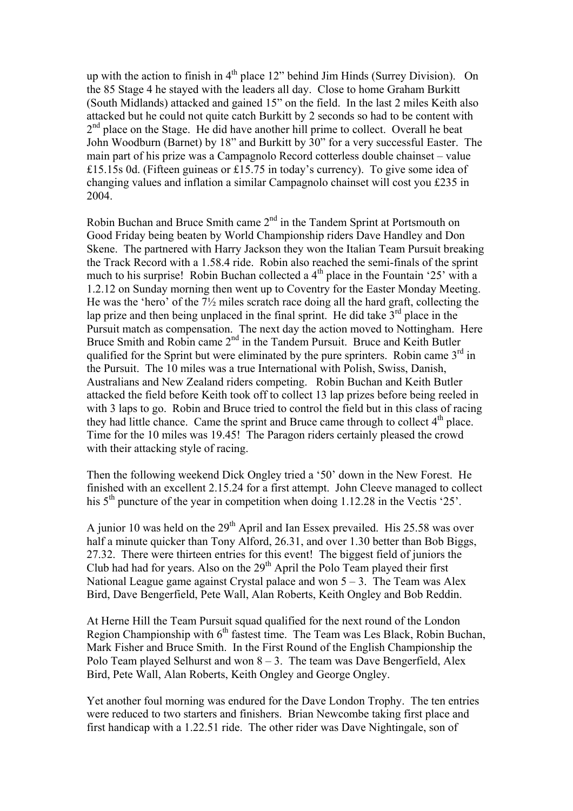up with the action to finish in  $4<sup>th</sup>$  place 12" behind Jim Hinds (Surrey Division). On the 85 Stage 4 he stayed with the leaders all day. Close to home Graham Burkitt (South Midlands) attacked and gained 15" on the field. In the last 2 miles Keith also attacked but he could not quite catch Burkitt by 2 seconds so had to be content with  $2<sup>nd</sup>$  place on the Stage. He did have another hill prime to collect. Overall he beat John Woodburn (Barnet) by 18" and Burkitt by 30" for a very successful Easter. The main part of his prize was a Campagnolo Record cotterless double chainset – value £15.15s 0d. (Fifteen guineas or £15.75 in today's currency). To give some idea of changing values and inflation a similar Campagnolo chainset will cost you £235 in 2004.

Robin Buchan and Bruce Smith came 2nd in the Tandem Sprint at Portsmouth on Good Friday being beaten by World Championship riders Dave Handley and Don Skene. The partnered with Harry Jackson they won the Italian Team Pursuit breaking the Track Record with a 1.58.4 ride. Robin also reached the semi-finals of the sprint much to his surprise! Robin Buchan collected a  $4<sup>th</sup>$  place in the Fountain '25' with a 1.2.12 on Sunday morning then went up to Coventry for the Easter Monday Meeting. He was the 'hero' of the 7½ miles scratch race doing all the hard graft, collecting the lap prize and then being unplaced in the final sprint. He did take  $3<sup>rd</sup>$  place in the Pursuit match as compensation. The next day the action moved to Nottingham. Here Bruce Smith and Robin came 2<sup>nd</sup> in the Tandem Pursuit. Bruce and Keith Butler qualified for the Sprint but were eliminated by the pure sprinters. Robin came  $3<sup>rd</sup>$  in the Pursuit. The 10 miles was a true International with Polish, Swiss, Danish, Australians and New Zealand riders competing. Robin Buchan and Keith Butler attacked the field before Keith took off to collect 13 lap prizes before being reeled in with 3 laps to go. Robin and Bruce tried to control the field but in this class of racing they had little chance. Came the sprint and Bruce came through to collect  $4<sup>th</sup>$  place. Time for the 10 miles was 19.45! The Paragon riders certainly pleased the crowd with their attacking style of racing.

Then the following weekend Dick Ongley tried a '50' down in the New Forest. He finished with an excellent 2.15.24 for a first attempt. John Cleeve managed to collect his 5<sup>th</sup> puncture of the year in competition when doing 1.12.28 in the Vectis '25'.

A junior 10 was held on the  $29<sup>th</sup>$  April and Ian Essex prevailed. His 25.58 was over half a minute quicker than Tony Alford, 26.31, and over 1.30 better than Bob Biggs, 27.32. There were thirteen entries for this event! The biggest field of juniors the Club had had for years. Also on the  $29<sup>th</sup>$  April the Polo Team played their first National League game against Crystal palace and won  $5 - 3$ . The Team was Alex Bird, Dave Bengerfield, Pete Wall, Alan Roberts, Keith Ongley and Bob Reddin.

At Herne Hill the Team Pursuit squad qualified for the next round of the London Region Championship with 6<sup>th</sup> fastest time. The Team was Les Black, Robin Buchan, Mark Fisher and Bruce Smith. In the First Round of the English Championship the Polo Team played Selhurst and won  $8 - 3$ . The team was Dave Bengerfield, Alex Bird, Pete Wall, Alan Roberts, Keith Ongley and George Ongley.

Yet another foul morning was endured for the Dave London Trophy. The ten entries were reduced to two starters and finishers. Brian Newcombe taking first place and first handicap with a 1.22.51 ride. The other rider was Dave Nightingale, son of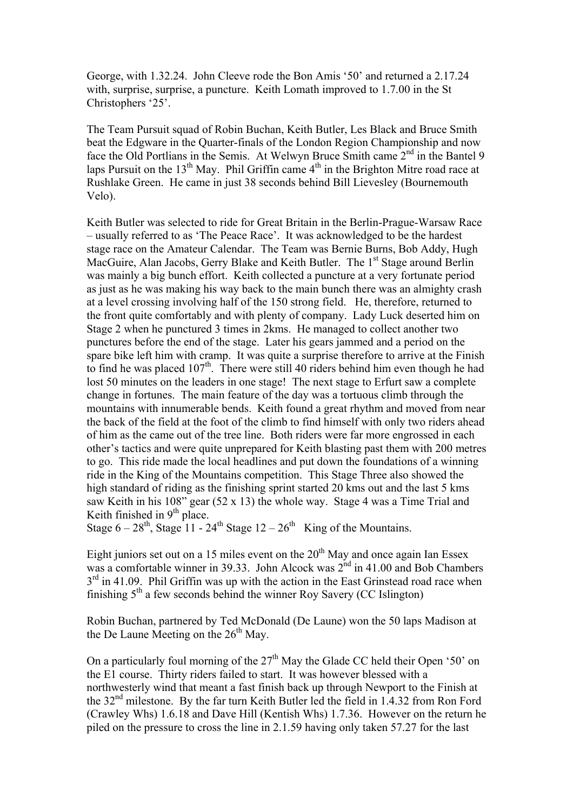George, with 1.32.24. John Cleeve rode the Bon Amis '50' and returned a 2.17.24 with, surprise, surprise, a puncture. Keith Lomath improved to 1.7.00 in the St Christophers '25'.

The Team Pursuit squad of Robin Buchan, Keith Butler, Les Black and Bruce Smith beat the Edgware in the Quarter-finals of the London Region Championship and now face the Old Portlians in the Semis. At Welwyn Bruce Smith came 2<sup>nd</sup> in the Bantel 9 laps Pursuit on the  $13<sup>th</sup>$  May. Phil Griffin came  $4<sup>th</sup>$  in the Brighton Mitre road race at Rushlake Green. He came in just 38 seconds behind Bill Lievesley (Bournemouth Velo).

Keith Butler was selected to ride for Great Britain in the Berlin-Prague-Warsaw Race – usually referred to as 'The Peace Race'. It was acknowledged to be the hardest stage race on the Amateur Calendar. The Team was Bernie Burns, Bob Addy, Hugh MacGuire, Alan Jacobs, Gerry Blake and Keith Butler. The 1<sup>st</sup> Stage around Berlin was mainly a big bunch effort. Keith collected a puncture at a very fortunate period as just as he was making his way back to the main bunch there was an almighty crash at a level crossing involving half of the 150 strong field. He, therefore, returned to the front quite comfortably and with plenty of company. Lady Luck deserted him on Stage 2 when he punctured 3 times in 2kms. He managed to collect another two punctures before the end of the stage. Later his gears jammed and a period on the spare bike left him with cramp. It was quite a surprise therefore to arrive at the Finish to find he was placed  $107<sup>th</sup>$ . There were still 40 riders behind him even though he had lost 50 minutes on the leaders in one stage! The next stage to Erfurt saw a complete change in fortunes. The main feature of the day was a tortuous climb through the mountains with innumerable bends. Keith found a great rhythm and moved from near the back of the field at the foot of the climb to find himself with only two riders ahead of him as the came out of the tree line. Both riders were far more engrossed in each other's tactics and were quite unprepared for Keith blasting past them with 200 metres to go. This ride made the local headlines and put down the foundations of a winning ride in the King of the Mountains competition. This Stage Three also showed the high standard of riding as the finishing sprint started 20 kms out and the last 5 kms saw Keith in his 108" gear (52 x 13) the whole way. Stage 4 was a Time Trial and Keith finished in  $9<sup>th</sup>$  place.

Stage  $6 - 28$ <sup>th</sup>, Stage 11 - 24<sup>th</sup> Stage 12 – 26<sup>th</sup> King of the Mountains.

Eight juniors set out on a 15 miles event on the  $20<sup>th</sup>$  May and once again Ian Essex was a comfortable winner in 39.33. John Alcock was  $2<sup>nd</sup>$  in 41.00 and Bob Chambers  $3<sup>rd</sup>$  in 41.09. Phil Griffin was up with the action in the East Grinstead road race when finishing  $5<sup>th</sup>$  a few seconds behind the winner Roy Savery (CC Islington)

Robin Buchan, partnered by Ted McDonald (De Laune) won the 50 laps Madison at the De Laune Meeting on the  $26<sup>th</sup>$  May.

On a particularly foul morning of the  $27<sup>th</sup>$  May the Glade CC held their Open '50' on the E1 course. Thirty riders failed to start. It was however blessed with a northwesterly wind that meant a fast finish back up through Newport to the Finish at the 32nd milestone. By the far turn Keith Butler led the field in 1.4.32 from Ron Ford (Crawley Whs) 1.6.18 and Dave Hill (Kentish Whs) 1.7.36. However on the return he piled on the pressure to cross the line in 2.1.59 having only taken 57.27 for the last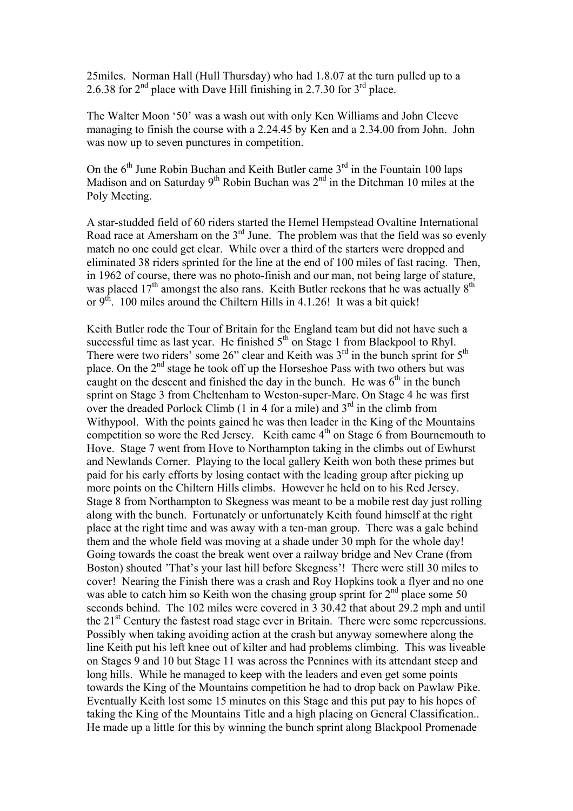25miles. Norman Hall (Hull Thursday) who had 1.8.07 at the turn pulled up to a 2.6.38 for  $2<sup>nd</sup>$  place with Dave Hill finishing in 2.7.30 for  $3<sup>rd</sup>$  place.

The Walter Moon '50' was a wash out with only Ken Williams and John Cleeve managing to finish the course with a 2.24.45 by Ken and a 2.34.00 from John. John was now up to seven punctures in competition.

On the  $6<sup>th</sup>$  June Robin Buchan and Keith Butler came  $3<sup>rd</sup>$  in the Fountain 100 laps Madison and on Saturday  $9<sup>th</sup>$  Robin Buchan was  $2<sup>nd</sup>$  in the Ditchman 10 miles at the Poly Meeting.

A star-studded field of 60 riders started the Hemel Hempstead Ovaltine International Road race at Amersham on the 3<sup>rd</sup> June. The problem was that the field was so evenly match no one could get clear. While over a third of the starters were dropped and eliminated 38 riders sprinted for the line at the end of 100 miles of fast racing. Then, in 1962 of course, there was no photo-finish and our man, not being large of stature, was placed  $17<sup>th</sup>$  amongst the also rans. Keith Butler reckons that he was actually  $8<sup>th</sup>$ or  $9<sup>th</sup>$ . 100 miles around the Chiltern Hills in 4.1.26! It was a bit quick!

Keith Butler rode the Tour of Britain for the England team but did not have such a successful time as last year. He finished  $5<sup>th</sup>$  on Stage 1 from Blackpool to Rhyl. There were two riders' some 26" clear and Keith was  $3<sup>rd</sup>$  in the bunch sprint for  $5<sup>th</sup>$ place. On the 2nd stage he took off up the Horseshoe Pass with two others but was caught on the descent and finished the day in the bunch. He was  $6<sup>th</sup>$  in the bunch sprint on Stage 3 from Cheltenham to Weston-super-Mare. On Stage 4 he was first over the dreaded Porlock Climb (1 in 4 for a mile) and  $3<sup>rd</sup>$  in the climb from Withypool. With the points gained he was then leader in the King of the Mountains competition so wore the Red Jersey. Keith came  $4<sup>th</sup>$  on Stage 6 from Bournemouth to Hove. Stage 7 went from Hove to Northampton taking in the climbs out of Ewhurst and Newlands Corner. Playing to the local gallery Keith won both these primes but paid for his early efforts by losing contact with the leading group after picking up more points on the Chiltern Hills climbs. However he held on to his Red Jersey. Stage 8 from Northampton to Skegness was meant to be a mobile rest day just rolling along with the bunch. Fortunately or unfortunately Keith found himself at the right place at the right time and was away with a ten-man group. There was a gale behind them and the whole field was moving at a shade under 30 mph for the whole day! Going towards the coast the break went over a railway bridge and Nev Crane (from Boston) shouted 'That's your last hill before Skegness'! There were still 30 miles to cover! Nearing the Finish there was a crash and Roy Hopkins took a flyer and no one was able to catch him so Keith won the chasing group sprint for  $2<sup>nd</sup>$  place some 50 seconds behind. The 102 miles were covered in 3 30.42 that about 29.2 mph and until the  $21<sup>st</sup>$  Century the fastest road stage ever in Britain. There were some repercussions. Possibly when taking avoiding action at the crash but anyway somewhere along the line Keith put his left knee out of kilter and had problems climbing. This was liveable on Stages 9 and 10 but Stage 11 was across the Pennines with its attendant steep and long hills. While he managed to keep with the leaders and even get some points towards the King of the Mountains competition he had to drop back on Pawlaw Pike. Eventually Keith lost some 15 minutes on this Stage and this put pay to his hopes of taking the King of the Mountains Title and a high placing on General Classification.. He made up a little for this by winning the bunch sprint along Blackpool Promenade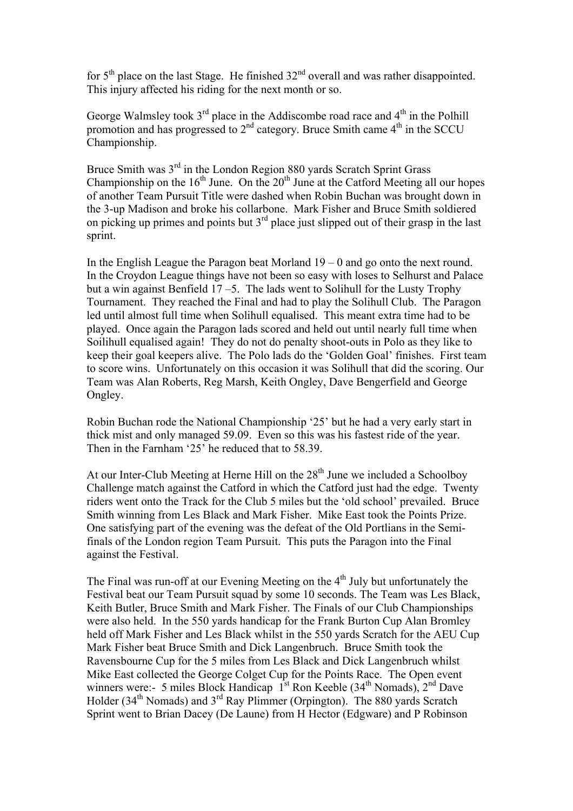for  $5<sup>th</sup>$  place on the last Stage. He finished  $32<sup>nd</sup>$  overall and was rather disappointed. This injury affected his riding for the next month or so.

George Walmsley took  $3<sup>rd</sup>$  place in the Addiscombe road race and  $4<sup>th</sup>$  in the Polhill promotion and has progressed to  $2<sup>nd</sup>$  category. Bruce Smith came  $4<sup>th</sup>$  in the SCCU Championship.

Bruce Smith was 3<sup>rd</sup> in the London Region 880 yards Scratch Sprint Grass Championship on the  $16<sup>th</sup>$  June. On the  $20<sup>th</sup>$  June at the Catford Meeting all our hopes of another Team Pursuit Title were dashed when Robin Buchan was brought down in the 3-up Madison and broke his collarbone. Mark Fisher and Bruce Smith soldiered on picking up primes and points but  $3<sup>rd</sup>$  place just slipped out of their grasp in the last sprint.

In the English League the Paragon beat Morland  $19 - 0$  and go onto the next round. In the Croydon League things have not been so easy with loses to Selhurst and Palace but a win against Benfield  $17 - 5$ . The lads went to Solihull for the Lusty Trophy Tournament. They reached the Final and had to play the Solihull Club. The Paragon led until almost full time when Solihull equalised. This meant extra time had to be played. Once again the Paragon lads scored and held out until nearly full time when Soilihull equalised again! They do not do penalty shoot-outs in Polo as they like to keep their goal keepers alive. The Polo lads do the 'Golden Goal' finishes. First team to score wins. Unfortunately on this occasion it was Solihull that did the scoring. Our Team was Alan Roberts, Reg Marsh, Keith Ongley, Dave Bengerfield and George Ongley.

Robin Buchan rode the National Championship '25' but he had a very early start in thick mist and only managed 59.09. Even so this was his fastest ride of the year. Then in the Farnham '25' he reduced that to 58.39.

At our Inter-Club Meeting at Herne Hill on the  $28<sup>th</sup>$  June we included a Schoolboy Challenge match against the Catford in which the Catford just had the edge. Twenty riders went onto the Track for the Club 5 miles but the 'old school' prevailed. Bruce Smith winning from Les Black and Mark Fisher. Mike East took the Points Prize. One satisfying part of the evening was the defeat of the Old Portlians in the Semifinals of the London region Team Pursuit. This puts the Paragon into the Final against the Festival.

The Final was run-off at our Evening Meeting on the 4<sup>th</sup> July but unfortunately the Festival beat our Team Pursuit squad by some 10 seconds. The Team was Les Black, Keith Butler, Bruce Smith and Mark Fisher. The Finals of our Club Championships were also held. In the 550 yards handicap for the Frank Burton Cup Alan Bromley held off Mark Fisher and Les Black whilst in the 550 yards Scratch for the AEU Cup Mark Fisher beat Bruce Smith and Dick Langenbruch. Bruce Smith took the Ravensbourne Cup for the 5 miles from Les Black and Dick Langenbruch whilst Mike East collected the George Colget Cup for the Points Race. The Open event winners were:- 5 miles Block Handicap  $1^{st}$  Ron Keeble (34<sup>th</sup> Nomads),  $2^{nd}$  Dave Holder (34<sup>th</sup> Nomads) and 3<sup>rd</sup> Ray Plimmer (Orpington). The 880 yards Scratch Sprint went to Brian Dacey (De Laune) from H Hector (Edgware) and P Robinson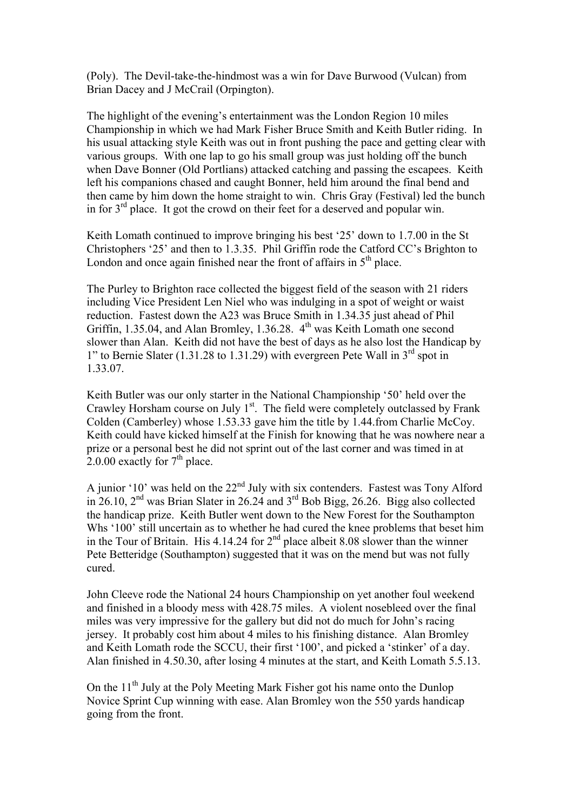(Poly). The Devil-take-the-hindmost was a win for Dave Burwood (Vulcan) from Brian Dacey and J McCrail (Orpington).

The highlight of the evening's entertainment was the London Region 10 miles Championship in which we had Mark Fisher Bruce Smith and Keith Butler riding. In his usual attacking style Keith was out in front pushing the pace and getting clear with various groups. With one lap to go his small group was just holding off the bunch when Dave Bonner (Old Portlians) attacked catching and passing the escapees. Keith left his companions chased and caught Bonner, held him around the final bend and then came by him down the home straight to win. Chris Gray (Festival) led the bunch in for  $3<sup>rd</sup>$  place. It got the crowd on their feet for a deserved and popular win.

Keith Lomath continued to improve bringing his best '25' down to 1.7.00 in the St Christophers '25' and then to 1.3.35. Phil Griffin rode the Catford CC's Brighton to London and once again finished near the front of affairs in  $5<sup>th</sup>$  place.

The Purley to Brighton race collected the biggest field of the season with 21 riders including Vice President Len Niel who was indulging in a spot of weight or waist reduction. Fastest down the A23 was Bruce Smith in 1.34.35 just ahead of Phil Griffin, 1.35.04, and Alan Bromley, 1.36.28.  $4<sup>th</sup>$  was Keith Lomath one second slower than Alan. Keith did not have the best of days as he also lost the Handicap by 1" to Bernie Slater (1.31.28 to 1.31.29) with evergreen Pete Wall in  $3<sup>rd</sup>$  spot in 1.33.07.

Keith Butler was our only starter in the National Championship '50' held over the Crawley Horsham course on July 1<sup>st</sup>. The field were completely outclassed by Frank Colden (Camberley) whose 1.53.33 gave him the title by 1.44.from Charlie McCoy. Keith could have kicked himself at the Finish for knowing that he was nowhere near a prize or a personal best he did not sprint out of the last corner and was timed in at 2.0.00 exactly for  $7<sup>th</sup>$  place.

A junior '10' was held on the 22<sup>nd</sup> July with six contenders. Fastest was Tony Alford in 26.10,  $2<sup>nd</sup>$  was Brian Slater in 26.24 and  $3<sup>rd</sup>$  Bob Bigg, 26.26. Bigg also collected the handicap prize. Keith Butler went down to the New Forest for the Southampton Whs '100' still uncertain as to whether he had cured the knee problems that beset him in the Tour of Britain. His  $4.14.24$  for  $2<sup>nd</sup>$  place albeit 8.08 slower than the winner Pete Betteridge (Southampton) suggested that it was on the mend but was not fully cured.

John Cleeve rode the National 24 hours Championship on yet another foul weekend and finished in a bloody mess with 428.75 miles. A violent nosebleed over the final miles was very impressive for the gallery but did not do much for John's racing jersey. It probably cost him about 4 miles to his finishing distance. Alan Bromley and Keith Lomath rode the SCCU, their first '100', and picked a 'stinker' of a day. Alan finished in 4.50.30, after losing 4 minutes at the start, and Keith Lomath 5.5.13.

On the  $11<sup>th</sup>$  July at the Poly Meeting Mark Fisher got his name onto the Dunlop Novice Sprint Cup winning with ease. Alan Bromley won the 550 yards handicap going from the front.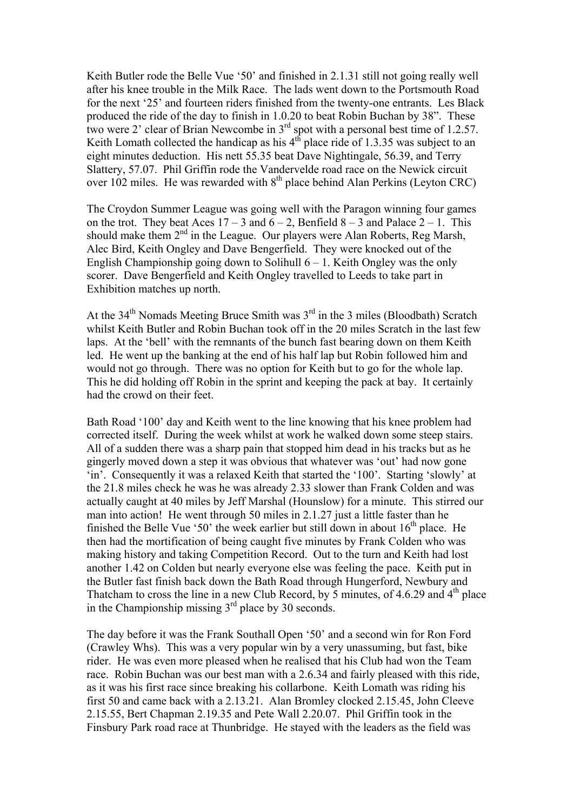Keith Butler rode the Belle Vue '50' and finished in 2.1.31 still not going really well after his knee trouble in the Milk Race. The lads went down to the Portsmouth Road for the next '25' and fourteen riders finished from the twenty-one entrants. Les Black produced the ride of the day to finish in 1.0.20 to beat Robin Buchan by 38". These two were 2' clear of Brian Newcombe in 3rd spot with a personal best time of 1.2.57. Keith Lomath collected the handicap as his  $4<sup>th</sup>$  place ride of 1.3.35 was subject to an eight minutes deduction. His nett 55.35 beat Dave Nightingale, 56.39, and Terry Slattery, 57.07. Phil Griffin rode the Vandervelde road race on the Newick circuit over 102 miles. He was rewarded with  $8<sup>th</sup>$  place behind Alan Perkins (Leyton CRC)

The Croydon Summer League was going well with the Paragon winning four games on the trot. They beat Aces  $17 - 3$  and  $6 - 2$ , Benfield  $8 - 3$  and Palace  $2 - 1$ . This should make them  $2<sup>nd</sup>$  in the League. Our players were Alan Roberts, Reg Marsh, Alec Bird, Keith Ongley and Dave Bengerfield. They were knocked out of the English Championship going down to Solihull  $6 - 1$ . Keith Ongley was the only scorer. Dave Bengerfield and Keith Ongley travelled to Leeds to take part in Exhibition matches up north.

At the  $34<sup>th</sup>$  Nomads Meeting Bruce Smith was  $3<sup>rd</sup>$  in the 3 miles (Bloodbath) Scratch whilst Keith Butler and Robin Buchan took off in the 20 miles Scratch in the last few laps. At the 'bell' with the remnants of the bunch fast bearing down on them Keith led. He went up the banking at the end of his half lap but Robin followed him and would not go through. There was no option for Keith but to go for the whole lap. This he did holding off Robin in the sprint and keeping the pack at bay. It certainly had the crowd on their feet.

Bath Road '100' day and Keith went to the line knowing that his knee problem had corrected itself. During the week whilst at work he walked down some steep stairs. All of a sudden there was a sharp pain that stopped him dead in his tracks but as he gingerly moved down a step it was obvious that whatever was 'out' had now gone 'in'. Consequently it was a relaxed Keith that started the '100'. Starting 'slowly' at the 21.8 miles check he was he was already 2.33 slower than Frank Colden and was actually caught at 40 miles by Jeff Marshal (Hounslow) for a minute. This stirred our man into action! He went through 50 miles in 2.1.27 just a little faster than he finished the Belle Vue '50' the week earlier but still down in about  $16<sup>th</sup>$  place. He then had the mortification of being caught five minutes by Frank Colden who was making history and taking Competition Record. Out to the turn and Keith had lost another 1.42 on Colden but nearly everyone else was feeling the pace. Keith put in the Butler fast finish back down the Bath Road through Hungerford, Newbury and Thatcham to cross the line in a new Club Record, by 5 minutes, of 4.6.29 and  $4<sup>th</sup>$  place in the Championship missing  $3<sup>rd</sup>$  place by 30 seconds.

The day before it was the Frank Southall Open '50' and a second win for Ron Ford (Crawley Whs). This was a very popular win by a very unassuming, but fast, bike rider. He was even more pleased when he realised that his Club had won the Team race. Robin Buchan was our best man with a 2.6.34 and fairly pleased with this ride, as it was his first race since breaking his collarbone. Keith Lomath was riding his first 50 and came back with a 2.13.21. Alan Bromley clocked 2.15.45, John Cleeve 2.15.55, Bert Chapman 2.19.35 and Pete Wall 2.20.07. Phil Griffin took in the Finsbury Park road race at Thunbridge. He stayed with the leaders as the field was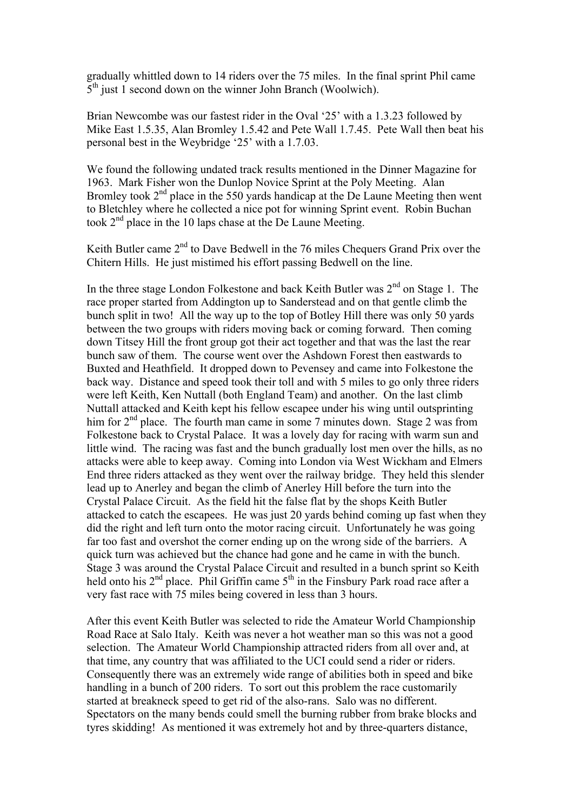gradually whittled down to 14 riders over the 75 miles. In the final sprint Phil came  $5<sup>th</sup>$  just 1 second down on the winner John Branch (Woolwich).

Brian Newcombe was our fastest rider in the Oval '25' with a 1.3.23 followed by Mike East 1.5.35, Alan Bromley 1.5.42 and Pete Wall 1.7.45. Pete Wall then beat his personal best in the Weybridge '25' with a 1.7.03.

We found the following undated track results mentioned in the Dinner Magazine for 1963. Mark Fisher won the Dunlop Novice Sprint at the Poly Meeting. Alan Bromley took  $2<sup>nd</sup>$  place in the 550 yards handicap at the De Laune Meeting then went to Bletchley where he collected a nice pot for winning Sprint event. Robin Buchan took 2<sup>nd</sup> place in the 10 laps chase at the De Laune Meeting.

Keith Butler came  $2<sup>nd</sup>$  to Dave Bedwell in the 76 miles Chequers Grand Prix over the Chitern Hills. He just mistimed his effort passing Bedwell on the line.

In the three stage London Folkestone and back Keith Butler was 2<sup>nd</sup> on Stage 1. The race proper started from Addington up to Sanderstead and on that gentle climb the bunch split in two! All the way up to the top of Botley Hill there was only 50 yards between the two groups with riders moving back or coming forward. Then coming down Titsey Hill the front group got their act together and that was the last the rear bunch saw of them. The course went over the Ashdown Forest then eastwards to Buxted and Heathfield. It dropped down to Pevensey and came into Folkestone the back way. Distance and speed took their toll and with 5 miles to go only three riders were left Keith, Ken Nuttall (both England Team) and another. On the last climb Nuttall attacked and Keith kept his fellow escapee under his wing until outsprinting him for 2<sup>nd</sup> place. The fourth man came in some 7 minutes down. Stage 2 was from Folkestone back to Crystal Palace. It was a lovely day for racing with warm sun and little wind. The racing was fast and the bunch gradually lost men over the hills, as no attacks were able to keep away. Coming into London via West Wickham and Elmers End three riders attacked as they went over the railway bridge. They held this slender lead up to Anerley and began the climb of Anerley Hill before the turn into the Crystal Palace Circuit. As the field hit the false flat by the shops Keith Butler attacked to catch the escapees. He was just 20 yards behind coming up fast when they did the right and left turn onto the motor racing circuit. Unfortunately he was going far too fast and overshot the corner ending up on the wrong side of the barriers. A quick turn was achieved but the chance had gone and he came in with the bunch. Stage 3 was around the Crystal Palace Circuit and resulted in a bunch sprint so Keith held onto his 2<sup>nd</sup> place. Phil Griffin came 5<sup>th</sup> in the Finsbury Park road race after a very fast race with 75 miles being covered in less than 3 hours.

After this event Keith Butler was selected to ride the Amateur World Championship Road Race at Salo Italy. Keith was never a hot weather man so this was not a good selection. The Amateur World Championship attracted riders from all over and, at that time, any country that was affiliated to the UCI could send a rider or riders. Consequently there was an extremely wide range of abilities both in speed and bike handling in a bunch of 200 riders. To sort out this problem the race customarily started at breakneck speed to get rid of the also-rans. Salo was no different. Spectators on the many bends could smell the burning rubber from brake blocks and tyres skidding! As mentioned it was extremely hot and by three-quarters distance,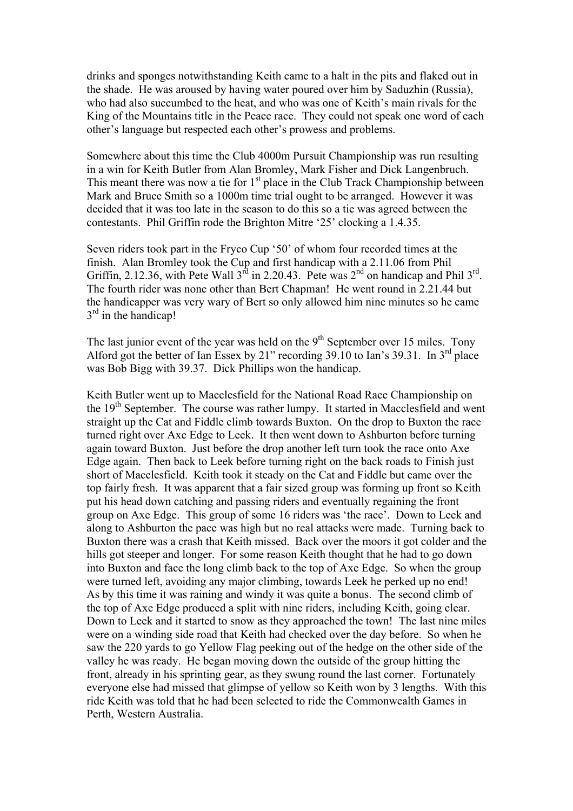drinks and sponges notwithstanding Keith came to a halt in the pits and flaked out in the shade. He was aroused by having water poured over him by Saduzhin (Russia), who had also succumbed to the heat, and who was one of Keith's main rivals for the King of the Mountains title in the Peace race. They could not speak one word of each other's language but respected each other's prowess and problems.

Somewhere about this time the Club 4000m Pursuit Championship was run resulting in a win for Keith Butler from Alan Bromley, Mark Fisher and Dick Langenbruch. This meant there was now a tie for  $1<sup>st</sup>$  place in the Club Track Championship between Mark and Bruce Smith so a 1000m time trial ought to be arranged. However it was decided that it was too late in the season to do this so a tie was agreed between the contestants. Phil Griffin rode the Brighton Mitre '25' clocking a 1.4.35.

Seven riders took part in the Fryco Cup '50' of whom four recorded times at the finish. Alan Bromley took the Cup and first handicap with a 2.11.06 from Phil Griffin, 2.12.36, with Pete Wall  $3^{rd}$  in 2.20.43. Pete was  $2^{nd}$  on handicap and Phil  $3^{rd}$ . The fourth rider was none other than Bert Chapman! He went round in 2.21.44 but the handicapper was very wary of Bert so only allowed him nine minutes so he came  $3<sup>rd</sup>$  in the handicap!

The last junior event of the year was held on the  $9<sup>th</sup>$  September over 15 miles. Tony Alford got the better of Ian Essex by 21" recording  $39.10$  to Ian's  $39.31$ . In  $3^{rd}$  place was Bob Bigg with 39.37. Dick Phillips won the handicap.

Keith Butler went up to Macclesfield for the National Road Race Championship on the 19<sup>th</sup> September. The course was rather lumpy. It started in Macclesfield and went straight up the Cat and Fiddle climb towards Buxton. On the drop to Buxton the race turned right over Axe Edge to Leek. It then went down to Ashburton before turning again toward Buxton. Just before the drop another left turn took the race onto Axe Edge again. Then back to Leek before turning right on the back roads to Finish just short of Macclesfield. Keith took it steady on the Cat and Fiddle but came over the top fairly fresh. It was apparent that a fair sized group was forming up front so Keith put his head down catching and passing riders and eventually regaining the front group on Axe Edge. This group of some 16 riders was 'the race'. Down to Leek and along to Ashburton the pace was high but no real attacks were made. Turning back to Buxton there was a crash that Keith missed. Back over the moors it got colder and the hills got steeper and longer. For some reason Keith thought that he had to go down into Buxton and face the long climb back to the top of Axe Edge. So when the group were turned left, avoiding any major climbing, towards Leek he perked up no end! As by this time it was raining and windy it was quite a bonus. The second climb of the top of Axe Edge produced a split with nine riders, including Keith, going clear. Down to Leek and it started to snow as they approached the town! The last nine miles were on a winding side road that Keith had checked over the day before. So when he saw the 220 yards to go Yellow Flag peeking out of the hedge on the other side of the valley he was ready. He began moving down the outside of the group hitting the front, already in his sprinting gear, as they swung round the last corner. Fortunately everyone else had missed that glimpse of yellow so Keith won by 3 lengths. With this ride Keith was told that he had been selected to ride the Commonwealth Games in Perth, Western Australia.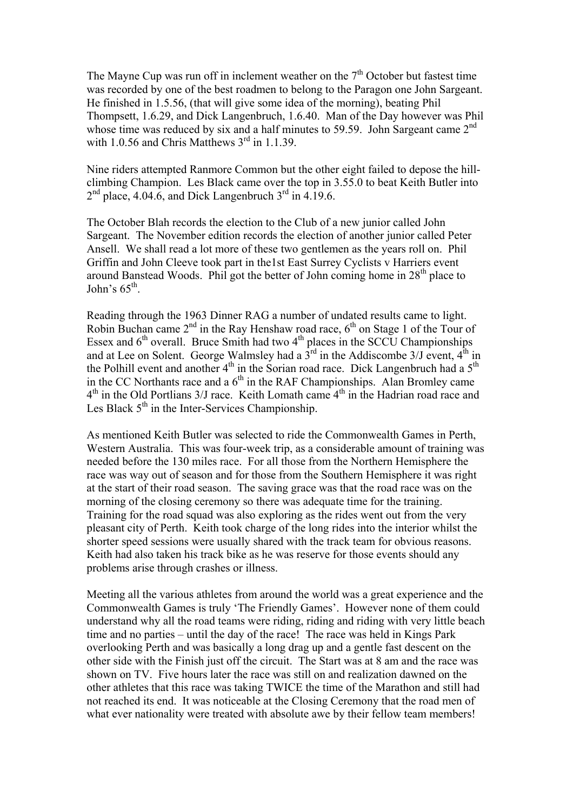The Mayne Cup was run off in inclement weather on the  $7<sup>th</sup>$  October but fastest time was recorded by one of the best roadmen to belong to the Paragon one John Sargeant. He finished in 1.5.56, (that will give some idea of the morning), beating Phil Thompsett, 1.6.29, and Dick Langenbruch, 1.6.40. Man of the Day however was Phil whose time was reduced by six and a half minutes to 59.59. John Sargeant came  $2<sup>nd</sup>$ with 1.0.56 and Chris Matthews  $3<sup>rd</sup>$  in 1.1.39.

Nine riders attempted Ranmore Common but the other eight failed to depose the hillclimbing Champion. Les Black came over the top in 3.55.0 to beat Keith Butler into  $2<sup>nd</sup>$  place, 4.04.6, and Dick Langenbruch  $3<sup>rd</sup>$  in 4.19.6.

The October Blah records the election to the Club of a new junior called John Sargeant. The November edition records the election of another junior called Peter Ansell. We shall read a lot more of these two gentlemen as the years roll on. Phil Griffin and John Cleeve took part in the1st East Surrey Cyclists v Harriers event around Banstead Woods. Phil got the better of John coming home in  $28<sup>th</sup>$  place to John's  $65^{\text{th}}$ .

Reading through the 1963 Dinner RAG a number of undated results came to light. Robin Buchan came  $2<sup>nd</sup>$  in the Ray Henshaw road race,  $6<sup>th</sup>$  on Stage 1 of the Tour of Essex and  $6<sup>th</sup>$  overall. Bruce Smith had two  $4<sup>th</sup>$  places in the SCCU Championships and at Lee on Solent. George Walmsley had a  $3^{\text{rd}}$  in the Addiscombe 3/J event,  $4^{\text{th}}$  in the Polhill event and another  $4<sup>th</sup>$  in the Sorian road race. Dick Langenbruch had a  $5<sup>th</sup>$ in the CC Northants race and a  $6<sup>th</sup>$  in the RAF Championships. Alan Bromley came  $4<sup>th</sup>$  in the Old Portlians 3/J race. Keith Lomath came  $4<sup>th</sup>$  in the Hadrian road race and Les Black  $5<sup>th</sup>$  in the Inter-Services Championship.

As mentioned Keith Butler was selected to ride the Commonwealth Games in Perth, Western Australia. This was four-week trip, as a considerable amount of training was needed before the 130 miles race. For all those from the Northern Hemisphere the race was way out of season and for those from the Southern Hemisphere it was right at the start of their road season. The saving grace was that the road race was on the morning of the closing ceremony so there was adequate time for the training. Training for the road squad was also exploring as the rides went out from the very pleasant city of Perth. Keith took charge of the long rides into the interior whilst the shorter speed sessions were usually shared with the track team for obvious reasons. Keith had also taken his track bike as he was reserve for those events should any problems arise through crashes or illness.

Meeting all the various athletes from around the world was a great experience and the Commonwealth Games is truly 'The Friendly Games'. However none of them could understand why all the road teams were riding, riding and riding with very little beach time and no parties – until the day of the race! The race was held in Kings Park overlooking Perth and was basically a long drag up and a gentle fast descent on the other side with the Finish just off the circuit. The Start was at 8 am and the race was shown on TV. Five hours later the race was still on and realization dawned on the other athletes that this race was taking TWICE the time of the Marathon and still had not reached its end. It was noticeable at the Closing Ceremony that the road men of what ever nationality were treated with absolute awe by their fellow team members!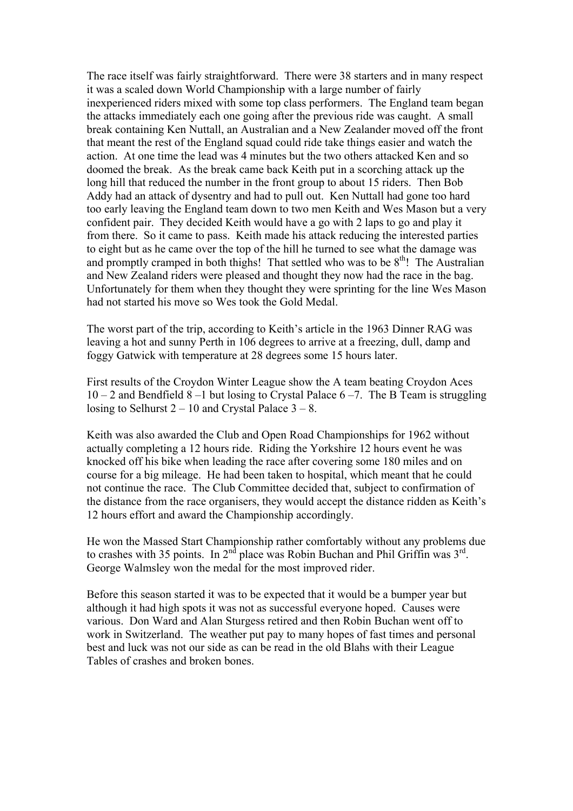The race itself was fairly straightforward. There were 38 starters and in many respect it was a scaled down World Championship with a large number of fairly inexperienced riders mixed with some top class performers. The England team began the attacks immediately each one going after the previous ride was caught. A small break containing Ken Nuttall, an Australian and a New Zealander moved off the front that meant the rest of the England squad could ride take things easier and watch the action. At one time the lead was 4 minutes but the two others attacked Ken and so doomed the break. As the break came back Keith put in a scorching attack up the long hill that reduced the number in the front group to about 15 riders. Then Bob Addy had an attack of dysentry and had to pull out. Ken Nuttall had gone too hard too early leaving the England team down to two men Keith and Wes Mason but a very confident pair. They decided Keith would have a go with 2 laps to go and play it from there. So it came to pass. Keith made his attack reducing the interested parties to eight but as he came over the top of the hill he turned to see what the damage was and promptly cramped in both thighs! That settled who was to be  $8<sup>th</sup>$ ! The Australian and New Zealand riders were pleased and thought they now had the race in the bag. Unfortunately for them when they thought they were sprinting for the line Wes Mason had not started his move so Wes took the Gold Medal.

The worst part of the trip, according to Keith's article in the 1963 Dinner RAG was leaving a hot and sunny Perth in 106 degrees to arrive at a freezing, dull, damp and foggy Gatwick with temperature at 28 degrees some 15 hours later.

First results of the Croydon Winter League show the A team beating Croydon Aces  $10 - 2$  and Bendfield 8 –1 but losing to Crystal Palace 6 –7. The B Team is struggling losing to Selhurst  $2 - 10$  and Crystal Palace  $3 - 8$ .

Keith was also awarded the Club and Open Road Championships for 1962 without actually completing a 12 hours ride. Riding the Yorkshire 12 hours event he was knocked off his bike when leading the race after covering some 180 miles and on course for a big mileage. He had been taken to hospital, which meant that he could not continue the race. The Club Committee decided that, subject to confirmation of the distance from the race organisers, they would accept the distance ridden as Keith's 12 hours effort and award the Championship accordingly.

He won the Massed Start Championship rather comfortably without any problems due to crashes with 35 points. In  $2<sup>nd</sup>$  place was Robin Buchan and Phil Griffin was  $3<sup>rd</sup>$ . George Walmsley won the medal for the most improved rider.

Before this season started it was to be expected that it would be a bumper year but although it had high spots it was not as successful everyone hoped. Causes were various. Don Ward and Alan Sturgess retired and then Robin Buchan went off to work in Switzerland. The weather put pay to many hopes of fast times and personal best and luck was not our side as can be read in the old Blahs with their League Tables of crashes and broken bones.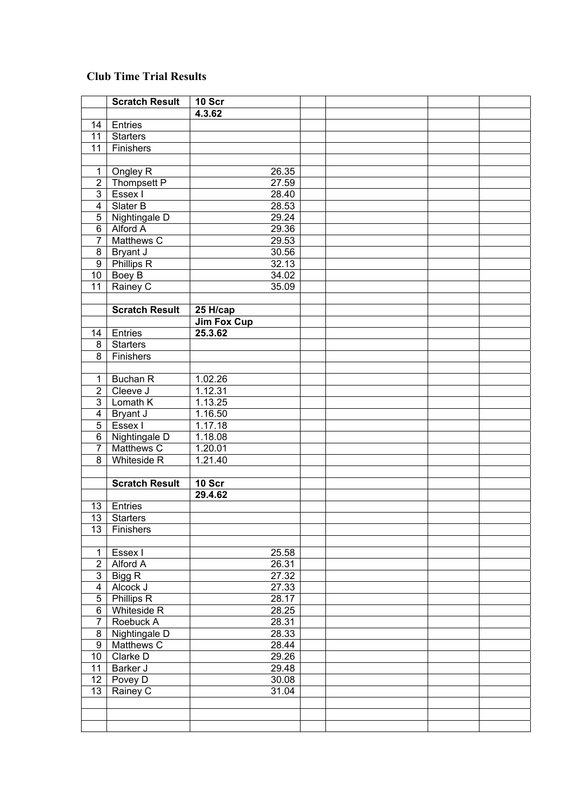## **Club Time Trial Results**

|                         | <b>Scratch Result</b> | 10 Scr             |  |  |
|-------------------------|-----------------------|--------------------|--|--|
|                         |                       | 4.3.62             |  |  |
| 14                      | Entries               |                    |  |  |
| 11                      | <b>Starters</b>       |                    |  |  |
| 11                      | Finishers             |                    |  |  |
|                         |                       |                    |  |  |
| 1                       | Ongley R              | 26.35              |  |  |
| $\mathbf 2$             | Thompsett P           | 27.59              |  |  |
| 3                       | Essex I               | 28.40              |  |  |
| $\overline{\mathbf{4}}$ | Slater B              | 28.53              |  |  |
| 5                       | Nightingale D         | 29.24              |  |  |
| 6                       | Alford A              | 29.36              |  |  |
| $\overline{7}$          | Matthews C            | 29.53              |  |  |
| $\bf 8$                 | Bryant J              | 30.56              |  |  |
| $\boldsymbol{9}$        | Phillips R            | 32.13              |  |  |
| 10                      | Boey B                | 34.02              |  |  |
| 11                      | Rainey C              | 35.09              |  |  |
|                         |                       |                    |  |  |
|                         | <b>Scratch Result</b> | 25 H/cap           |  |  |
|                         |                       | <b>Jim Fox Cup</b> |  |  |
| 14                      | Entries               | 25.3.62            |  |  |
| 8                       | <b>Starters</b>       |                    |  |  |
| $\overline{8}$          | Finishers             |                    |  |  |
|                         |                       |                    |  |  |
|                         |                       |                    |  |  |
| $\mathbf 1$             | <b>Buchan R</b>       | 1.02.26            |  |  |
| $\overline{2}$          | Cleeve J              | 1.12.31            |  |  |
| 3                       | Lomath K              | 1.13.25            |  |  |
| $\overline{\mathbf{4}}$ | Bryant J              | 1.16.50            |  |  |
| $\overline{5}$          | Essex I               | 1.17.18            |  |  |
| $\overline{6}$          | Nightingale D         | 1.18.08            |  |  |
| $\overline{7}$          | Matthews C            | 1.20.01            |  |  |
| 8                       | Whiteside R           | 1.21.40            |  |  |
|                         |                       |                    |  |  |
|                         | <b>Scratch Result</b> | 10 Scr             |  |  |
|                         |                       | 29.4.62            |  |  |
| 13                      | Entries               |                    |  |  |
| $\overline{13}$         | <b>Starters</b>       |                    |  |  |
| 13                      | Finishers             |                    |  |  |
|                         |                       |                    |  |  |
| $\mathbf{1}$            | Essex I               | 25.58              |  |  |
| $\overline{2}$          | Alford A              | 26.31              |  |  |
| 3                       | Bigg R                | 27.32              |  |  |
| 4                       | Alcock J              | 27.33              |  |  |
| $\overline{5}$          | <b>Phillips R</b>     | 28.17              |  |  |
| $\overline{6}$          | Whiteside R           | 28.25              |  |  |
| $\overline{7}$          | Roebuck A             | 28.31              |  |  |
| 8                       | Nightingale D         | 28.33              |  |  |
| $\overline{9}$          | Matthews C            | 28.44              |  |  |
| 10                      | Clarke D              | 29.26              |  |  |
| $\overline{11}$         | Barker J              | 29.48              |  |  |
| $\overline{12}$         | Povey D               | 30.08              |  |  |
| $\overline{13}$         | Rainey C              | 31.04              |  |  |
|                         |                       |                    |  |  |
|                         |                       |                    |  |  |
|                         |                       |                    |  |  |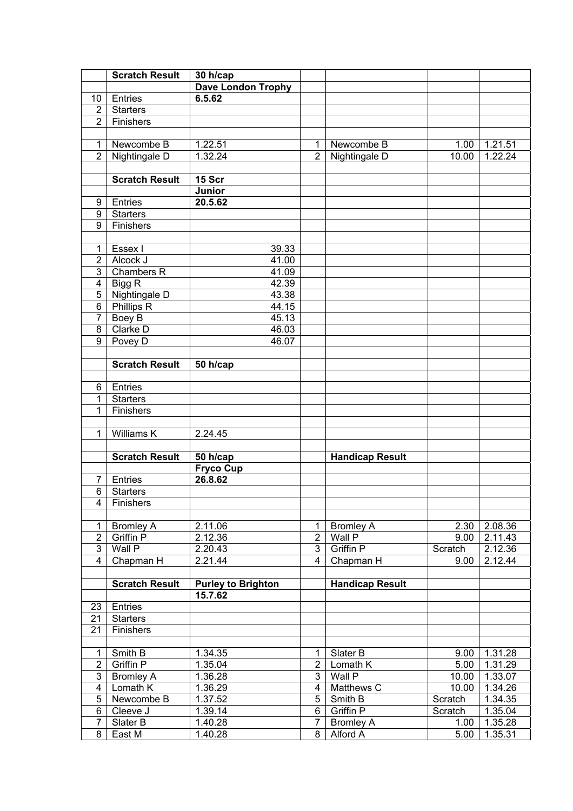|                         | <b>Scratch Result</b> | 30 h/cap                  |                |                        |         |         |
|-------------------------|-----------------------|---------------------------|----------------|------------------------|---------|---------|
|                         |                       | <b>Dave London Trophy</b> |                |                        |         |         |
| 10                      | Entries               | 6.5.62                    |                |                        |         |         |
| $\overline{2}$          | <b>Starters</b>       |                           |                |                        |         |         |
| $\overline{2}$          | Finishers             |                           |                |                        |         |         |
|                         |                       |                           |                |                        |         |         |
| $\mathbf{1}$            | Newcombe B            | 1.22.51                   | 1              | Newcombe B             | 1.00    | 1.21.51 |
| $\overline{2}$          | Nightingale D         | 1.32.24                   | $\overline{2}$ | Nightingale D          | 10.00   | 1.22.24 |
|                         |                       |                           |                |                        |         |         |
|                         | <b>Scratch Result</b> | 15 Scr                    |                |                        |         |         |
|                         |                       | Junior                    |                |                        |         |         |
| 9                       | Entries               | 20.5.62                   |                |                        |         |         |
| 9                       | <b>Starters</b>       |                           |                |                        |         |         |
| $\overline{9}$          | Finishers             |                           |                |                        |         |         |
|                         |                       |                           |                |                        |         |         |
| 1                       | Essex I               | 39.33                     |                |                        |         |         |
| $\overline{c}$          | Alcock J              | 41.00                     |                |                        |         |         |
| 3                       | <b>Chambers R</b>     | 41.09                     |                |                        |         |         |
| $\overline{4}$          | Bigg R                | 42.39                     |                |                        |         |         |
| $\overline{5}$          | Nightingale D         | 43.38                     |                |                        |         |         |
| $\overline{6}$          | <b>Phillips R</b>     | 44.15                     |                |                        |         |         |
| $\overline{7}$          | <b>Boey B</b>         | 45.13                     |                |                        |         |         |
| $\overline{8}$          | Clarke D              | 46.03                     |                |                        |         |         |
| $\overline{9}$          | Povey D               | 46.07                     |                |                        |         |         |
|                         |                       |                           |                |                        |         |         |
|                         | <b>Scratch Result</b> | $\overline{50}$ h/cap     |                |                        |         |         |
|                         |                       |                           |                |                        |         |         |
| 6                       | Entries               |                           |                |                        |         |         |
| 1                       | <b>Starters</b>       |                           |                |                        |         |         |
| 1                       | Finishers             |                           |                |                        |         |         |
| $\mathbf{1}$            | <b>Williams K</b>     |                           |                |                        |         |         |
|                         |                       | 2.24.45                   |                |                        |         |         |
|                         | <b>Scratch Result</b> | 50 h/cap                  |                | <b>Handicap Result</b> |         |         |
|                         |                       | Fryco Cup                 |                |                        |         |         |
| 7                       | Entries               | 26.8.62                   |                |                        |         |         |
| 6                       | <b>Starters</b>       |                           |                |                        |         |         |
| 4                       | Finishers             |                           |                |                        |         |         |
|                         |                       |                           |                |                        |         |         |
| 1                       | <b>Bromley A</b>      | 2.11.06                   | 1              | <b>Bromley A</b>       | 2.30    | 2.08.36 |
| $\overline{2}$          | Griffin P             | 2.12.36                   | $\overline{2}$ | Wall P                 | 9.00    | 2.11.43 |
| 3                       | Wall P                | 2.20.43                   | $\overline{3}$ | Griffin P              | Scratch | 2.12.36 |
| 4                       | Chapman H             | 2.21.44                   | $\overline{4}$ | Chapman H              | 9.00    | 2.12.44 |
|                         |                       |                           |                |                        |         |         |
|                         | <b>Scratch Result</b> | <b>Purley to Brighton</b> |                | <b>Handicap Result</b> |         |         |
|                         |                       | 15.7.62                   |                |                        |         |         |
| 23                      | Entries               |                           |                |                        |         |         |
| 21                      | <b>Starters</b>       |                           |                |                        |         |         |
| 21                      | Finishers             |                           |                |                        |         |         |
|                         |                       |                           |                |                        |         |         |
| 1                       | Smith B               | 1.34.35                   | 1              | Slater B               | 9.00    | 1.31.28 |
| $\overline{2}$          | Griffin P             | 1.35.04                   | $\overline{2}$ | Lomath K               | 5.00    | 1.31.29 |
| 3                       | <b>Bromley A</b>      | 1.36.28                   | $\overline{3}$ | Wall P                 | 10.00   | 1.33.07 |
| $\overline{\mathbf{4}}$ | Lomath K              | 1.36.29                   | 4              | Matthews C             | 10.00   | 1.34.26 |
| $\overline{5}$          | Newcombe B            | 1.37.52                   | 5              | Smith B                | Scratch | 1.34.35 |
| 6                       | Cleeve J              | 1.39.14                   | 6              | Griffin P              | Scratch | 1.35.04 |
| 7                       | Slater B              | 1.40.28                   | $\overline{7}$ | <b>Bromley A</b>       | 1.00    | 1.35.28 |
| 8                       | East M                | 1.40.28                   | 8              | Alford A               | 5.00    | 1.35.31 |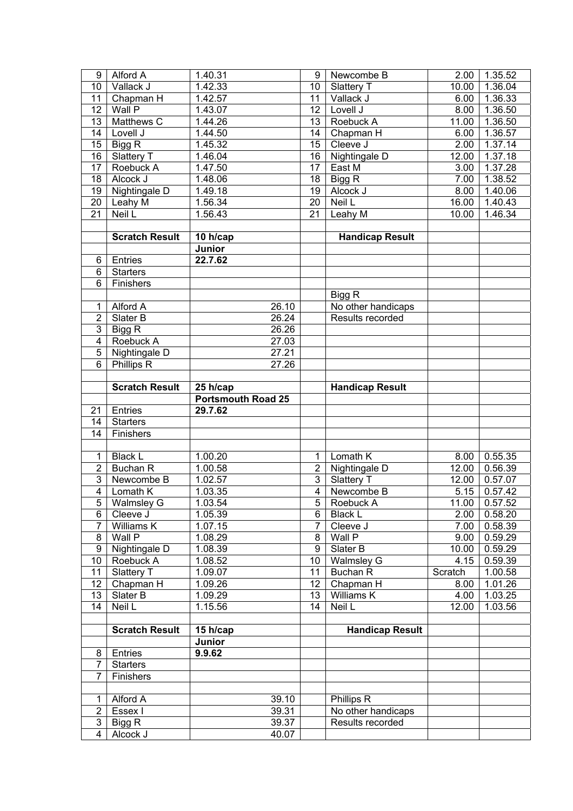| 9                   | Alford A              | 1.40.31                   | 9                       | Newcombe B             | 2.00    | 1.35.52       |
|---------------------|-----------------------|---------------------------|-------------------------|------------------------|---------|---------------|
| 10                  | Vallack J             | 1.42.33                   | 10                      | Slattery T             | 10.00   | 1.36.04       |
| 11                  | Chapman H             | 1.42.57                   | 11                      | Vallack J              | 6.00    | 1.36.33       |
| 12                  | Wall P                | 1.43.07                   | 12                      | Lovell J               | 8.00    | 1.36.50       |
| 13                  | Matthews C            | 1.44.26                   | 13                      | Roebuck A              | 11.00   | 1.36.50       |
| 14                  | Lovell J              | 1.44.50                   | 14                      | Chapman H              | 6.00    | 1.36.57       |
| 15                  | Bigg R                | 1.45.32                   | 15                      | Cleeve J               | 2.00    | 1.37.14       |
| 16                  | Slattery T            | 1.46.04                   | 16                      | Nightingale D          | 12.00   | 1.37.18       |
| $\overline{17}$     | Roebuck A             | 1.47.50                   | 17                      | East M                 | 3.00    | 1.37.28       |
| 18                  | Alcock J              | 1.48.06                   | 18                      | Bigg R                 | 7.00    | 1.38.52       |
| 19                  | Nightingale D         | 1.49.18                   | 19                      | Alcock J               | 8.00    | 1.40.06       |
| $\overline{20}$     | Leahy M               | 1.56.34                   | $\overline{20}$         | Neil L                 | 16.00   | 1.40.43       |
| $\overline{21}$     | Neil L                | 1.56.43                   | $\overline{21}$         | Leahy $\overline{M}$   | 10.00   | 1.46.34       |
|                     |                       |                           |                         |                        |         |               |
|                     | <b>Scratch Result</b> | 10 h/cap                  |                         | <b>Handicap Result</b> |         |               |
|                     |                       | Junior                    |                         |                        |         |               |
| 6                   | Entries               | 22.7.62                   |                         |                        |         |               |
| 6                   | <b>Starters</b>       |                           |                         |                        |         |               |
| 6                   | Finishers             |                           |                         |                        |         |               |
|                     |                       |                           |                         | Bigg R                 |         |               |
| 1                   | Alford A              | 26.10                     |                         | No other handicaps     |         |               |
| $\overline{2}$      | Slater B              | 26.24                     |                         | Results recorded       |         |               |
| 3                   | Bigg R                | 26.26                     |                         |                        |         |               |
| $\overline{4}$      | Roebuck A             | 27.03                     |                         |                        |         |               |
| $\overline{5}$      | Nightingale D         | 27.21                     |                         |                        |         |               |
| 6                   | Phillips R            | 27.26                     |                         |                        |         |               |
|                     |                       |                           |                         |                        |         |               |
|                     | <b>Scratch Result</b> | 25 h/cap                  |                         | <b>Handicap Result</b> |         |               |
|                     |                       |                           |                         |                        |         |               |
|                     |                       |                           |                         |                        |         |               |
|                     |                       | <b>Portsmouth Road 25</b> |                         |                        |         |               |
| 21                  | Entries               | 29.7.62                   |                         |                        |         |               |
| 14                  | <b>Starters</b>       |                           |                         |                        |         |               |
| 14                  | Finishers             |                           |                         |                        |         |               |
|                     |                       |                           |                         |                        |         |               |
| $\mathbf{1}$        | <b>Black L</b>        | 1.00.20                   | 1                       | Lomath K               | 8.00    | 0.55.35       |
| $\overline{2}$      | <b>Buchan R</b>       | 1.00.58                   | $\overline{2}$          | Nightingale D          | 12.00   | 0.56.39       |
| 3                   | Newcombe B            | 1.02.57                   | $\overline{3}$          | Slattery T             | 12.00   | 0.57.07       |
| $\overline{4}$      | Lomath K              | $\overline{1.03.35}$      | $\overline{\mathbf{4}}$ | Newcombe B             | 5.15    | 0.57.42       |
| $\overline{5}$      | <b>Walmsley G</b>     | 1.03.54                   | $\overline{5}$          | Roebuck A              |         | 11.00 0.57.52 |
| 6                   | Cleeve J              | 1.05.39                   | 6                       | <b>Black L</b>         | 2.00    | 0.58.20       |
| $\overline{7}$      | Williams K            | 1.07.15                   | 7                       | Cleeve J               | 7.00    | 0.58.39       |
| 8                   | Wall P                | 1.08.29                   | 8                       | Wall P                 | 9.00    | 0.59.29       |
| 9                   | Nightingale D         | 1.08.39                   | 9                       | Slater B               | 10.00   | 0.59.29       |
| 10                  | Roebuck A             | 1.08.52                   | 10                      | <b>Walmsley G</b>      | 4.15    | 0.59.39       |
| 11                  | Slattery T            | 1.09.07                   | 11                      | Buchan R               | Scratch | 1.00.58       |
| 12                  | Chapman H             | 1.09.26                   | 12                      | Chapman H              | 8.00    | 1.01.26       |
| 13                  | Slater B              | 1.09.29                   | 13                      | Williams K             | 4.00    | 1.03.25       |
| 14                  | Neil L                | 1.15.56                   | 14                      | Neil L                 | 12.00   | 1.03.56       |
|                     |                       |                           |                         |                        |         |               |
|                     | <b>Scratch Result</b> | $15$ h/cap                |                         | <b>Handicap Result</b> |         |               |
|                     |                       | Junior                    |                         |                        |         |               |
| 8                   | Entries               | 9.9.62                    |                         |                        |         |               |
| 7                   | <b>Starters</b>       |                           |                         |                        |         |               |
| $\overline{7}$      | Finishers             |                           |                         |                        |         |               |
|                     |                       |                           |                         |                        |         |               |
| 1                   | Alford A              | 39.10                     |                         | Phillips R             |         |               |
| $\overline{2}$      | Essex I               | 39.31                     |                         | No other handicaps     |         |               |
| 3<br>$\overline{4}$ | Bigg R<br>Alcock J    | 39.37<br>40.07            |                         | Results recorded       |         |               |